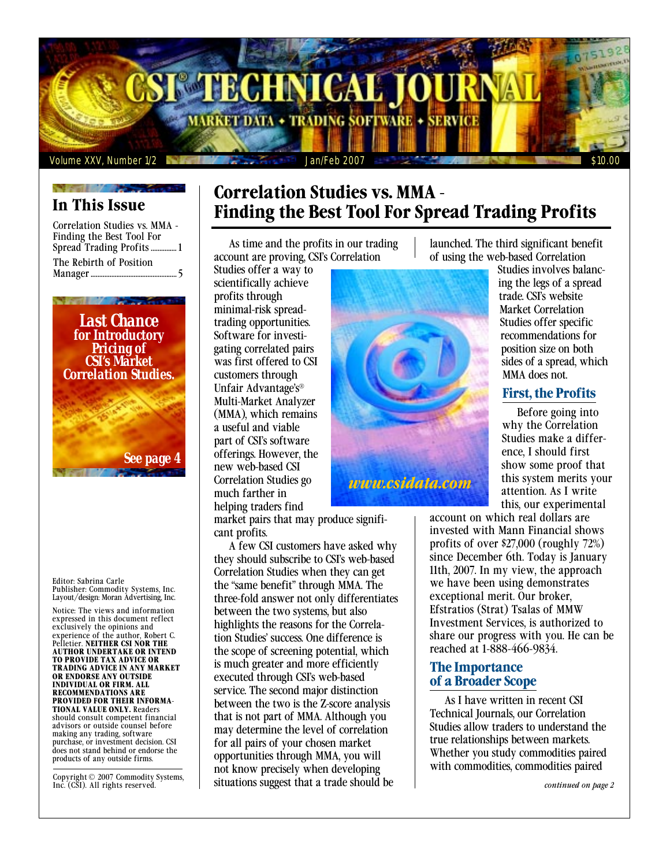

# **In This Issue**

Correlation Studies vs. MMA - Finding the Best Tool For Spread Trading Profits............... 1 The Rebirth of Position Manager .................................................. 5



Editor: Sabrina Carle Publisher: Commodity Systems, Inc. Layout/design: Moran Advertising, Inc.

Notice: The views and information expressed in this document reflect exclusively the opinions and experience of the author, Robert C. Pelletier. **NEITHER CSI NOR THE AUTHOR UNDERTAKE OR INTEND TO PROVIDE TAX ADVICE OR TRADING ADVICE IN ANY MARKET OR ENDORSE ANY OUTSIDE INDIVIDUAL OR FIRM. ALL RECOMMENDATIONS ARE PROVIDED FOR THEIR INFORMA-TIONAL VALUE ONLY.** Readers should consult competent financial advisors or outside counsel before making any trading, software purchase, or investment decision. CSI does not stand behind or endorse the products of any outside firms.

Copyright © 2007 Commodity Systems, Inc. (CSI). All rights reserved.

# **Correlation Studies vs. MMA - Finding the Best Tool For Spread Trading Profits**

As time and the profits in our trading account are proving, CSI's Correlation

Studies offer a way to scientifically achieve profits through minimal-risk spreadtrading opportunities. Software for investigating correlated pairs was first offered to CSI customers through Unfair Advantage's® Multi-Market Analyzer (MMA), which remains a useful and viable part of CSI's software offerings. However, the new web-based CSI Correlation Studies go much farther in helping traders find

market pairs that may produce significant profits.

A few CSI customers have asked why they should subscribe to CSI's web-based Correlation Studies when they can get the "same benefit" through MMA. The three-fold answer not only differentiates between the two systems, but also highlights the reasons for the Correlation Studies' success. One difference is the scope of screening potential, which is much greater and more efficiently executed through CSI's web-based service. The second major distinction between the two is the Z-score analysis that is not part of MMA. Although you may determine the level of correlation for all pairs of your chosen market opportunities through MMA, you will not know precisely when developing situations suggest that a trade should be

launched. The third significant benefit of using the web-based Correlation



Studies involves balancing the legs of a spread trade. CSI's website Market Correlation Studies offer specific recommendations for position size on both sides of a spread, which MMA does not.

# **First, the Profits**

Before going into why the Correlation Studies make a difference, I should first show some proof that this system merits your attention. As I write this, our experimental

account on which real dollars are invested with Mann Financial shows profits of over \$27,000 (roughly 72%) since December 6th. Today is January 11th, 2007. In my view, the approach we have been using demonstrates exceptional merit. Our broker, Efstratios (Strat) Tsalas of MMW Investment Services, is authorized to share our progress with you. He can be reached at 1-888-466-9834.

## **The Importance of a Broader Scope**

As I have written in recent CSI Technical Journals, our Correlation Studies allow traders to understand the true relationships between markets. Whether you study commodities paired with commodities, commodities paired

*continued on page 2*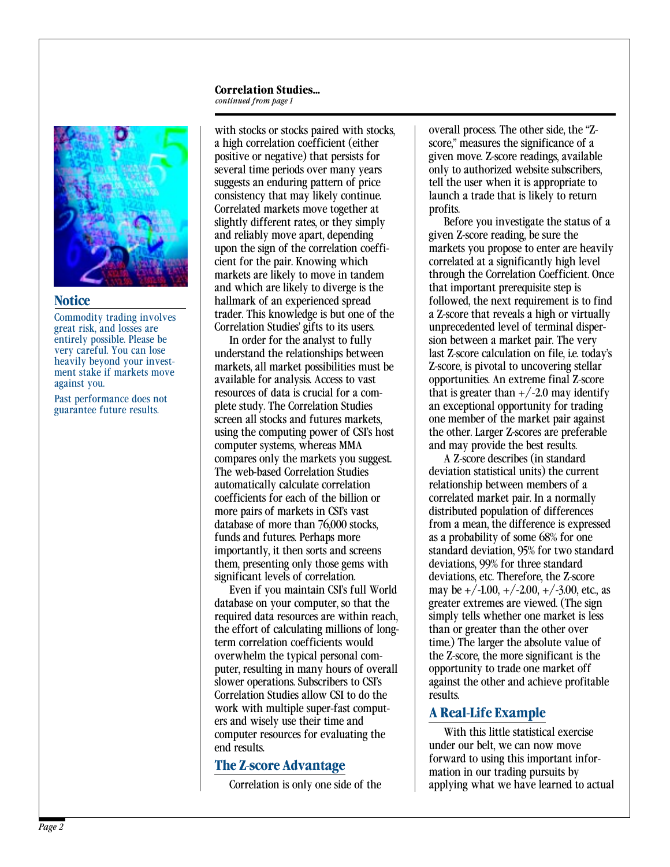# **Correlation Studies...**

*continued from page 1*



#### **Notice**

Commodity trading involves great risk, and losses are entirely possible. Please be very careful. You can lose heavily beyond your investment stake if markets move against you.

Past performance does not guarantee future results.

with stocks or stocks paired with stocks, a high correlation coefficient (either positive or negative) that persists for several time periods over many years suggests an enduring pattern of price consistency that may likely continue. Correlated markets move together at slightly different rates, or they simply and reliably move apart, depending upon the sign of the correlation coefficient for the pair. Knowing which markets are likely to move in tandem and which are likely to diverge is the hallmark of an experienced spread trader. This knowledge is but one of the Correlation Studies' gifts to its users.

In order for the analyst to fully understand the relationships between markets, all market possibilities must be available for analysis. Access to vast resources of data is crucial for a complete study. The Correlation Studies screen all stocks and futures markets, using the computing power of CSI's host computer systems, whereas MMA compares only the markets you suggest. The web-based Correlation Studies automatically calculate correlation coefficients for each of the billion or more pairs of markets in CSI's vast database of more than 76,000 stocks, funds and futures. Perhaps more importantly, it then sorts and screens them, presenting only those gems with significant levels of correlation.

Even if you maintain CSI's full World database on your computer, so that the required data resources are within reach, the effort of calculating millions of longterm correlation coefficients would overwhelm the typical personal computer, resulting in many hours of overall slower operations. Subscribers to CSI's Correlation Studies allow CSI to do the work with multiple super-fast computers and wisely use their time and computer resources for evaluating the end results.

# **The Z-score Advantage**

Correlation is only one side of the

overall process. The other side, the "Zscore," measures the significance of a given move. Z-score readings, available only to authorized website subscribers, tell the user when it is appropriate to launch a trade that is likely to return profits.

Before you investigate the status of a given Z-score reading, be sure the markets you propose to enter are heavily correlated at a significantly high level through the Correlation Coefficient. Once that important prerequisite step is followed, the next requirement is to find a Z-score that reveals a high or virtually unprecedented level of terminal dispersion between a market pair. The very last Z-score calculation on file, i.e. today's Z-score, is pivotal to uncovering stellar opportunities. An extreme final Z-score that is greater than  $+/-2.0$  may identify an exceptional opportunity for trading one member of the market pair against the other. Larger Z-scores are preferable and may provide the best results.

A Z-score describes (in standard deviation statistical units) the current relationship between members of a correlated market pair. In a normally distributed population of differences from a mean, the difference is expressed as a probability of some 68% for one standard deviation, 95% for two standard deviations, 99% for three standard deviations, etc. Therefore, the Z-score may be  $+/-1.00, +/-2.00, +/-3.00,$  etc., as greater extremes are viewed. (The sign simply tells whether one market is less than or greater than the other over time.) The larger the absolute value of the Z-score, the more significant is the opportunity to trade one market off against the other and achieve profitable results.

# **A Real-Life Example**

With this little statistical exercise under our belt, we can now move forward to using this important information in our trading pursuits by applying what we have learned to actual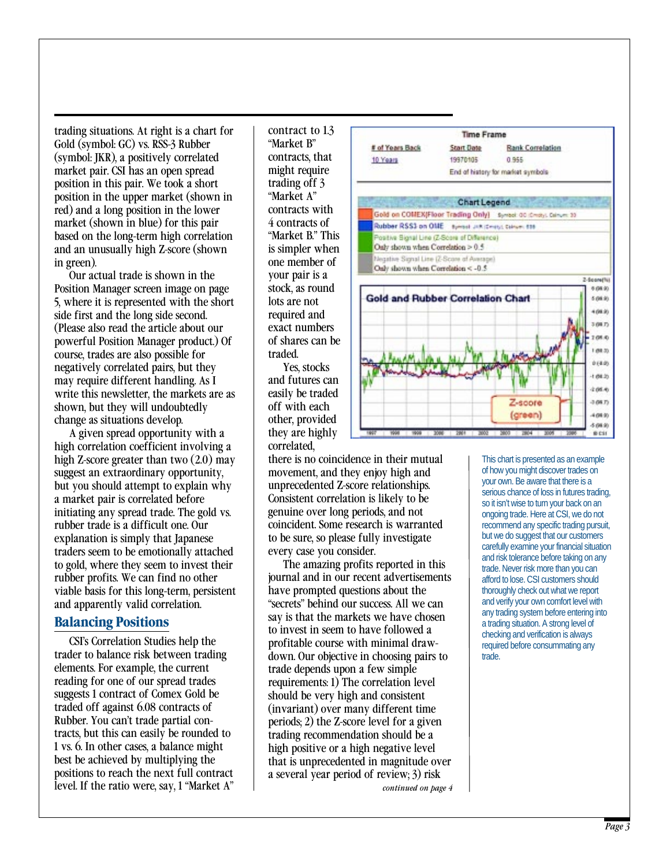trading situations. At right is a chart for Gold (symbol: GC) vs. RSS-3 Rubber (symbol: JKR), a positively correlated market pair. CSI has an open spread position in this pair. We took a short position in the upper market (shown in red) and a long position in the lower market (shown in blue) for this pair based on the long-term high correlation and an unusually high Z-score (shown in green).

Our actual trade is shown in the Position Manager screen image on page 5, where it is represented with the short side first and the long side second. (Please also read the article about our powerful Position Manager product.) Of course, trades are also possible for negatively correlated pairs, but they may require different handling. As I write this newsletter, the markets are as shown, but they will undoubtedly change as situations develop.

A given spread opportunity with a high correlation coefficient involving a high Z-score greater than two (2.0) may suggest an extraordinary opportunity, but you should attempt to explain why a market pair is correlated before initiating any spread trade. The gold vs. rubber trade is a difficult one. Our explanation is simply that Japanese traders seem to be emotionally attached to gold, where they seem to invest their rubber profits. We can find no other viable basis for this long-term, persistent and apparently valid correlation.

#### **Balancing Positions**

CSI's Correlation Studies help the trader to balance risk between trading elements. For example, the current reading for one of our spread trades suggests 1 contract of Comex Gold be traded off against 6.08 contracts of Rubber. You can't trade partial contracts, but this can easily be rounded to 1 vs. 6. In other cases, a balance might best be achieved by multiplying the positions to reach the next full contract level. If the ratio were, say, 1 "Market A" contract to 1.3 "Market B" contracts, that might require trading off 3 "Market A" contracts with 4 contracts of "Market B." This is simpler when one member of your pair is a stock, as round lots are not required and exact numbers of shares can be traded.

Yes, stocks and futures can easily be traded off with each other, provided they are highly correlated,

there is no coincidence in their mutual movement, and they enjoy high and unprecedented Z-score relationships. Consistent correlation is likely to be genuine over long periods, and not coincident. Some research is warranted to be sure, so please fully investigate every case you consider.

*continued on page 4* The amazing profits reported in this journal and in our recent advertisements have prompted questions about the "secrets" behind our success. All we can say is that the markets we have chosen to invest in seem to have followed a profitable course with minimal drawdown. Our objective in choosing pairs to trade depends upon a few simple requirements: 1) The correlation level should be very high and consistent (invariant) over many different time periods; 2) the Z-score level for a given trading recommendation should be a high positive or a high negative level that is unprecedented in magnitude over a several year period of review; 3) risk



This chart is presented as an example of how you might discover trades on your own. Be aware that there is a serious chance of loss in futures trading, so it isn't wise to turn your back on an ongoing trade. Here at CSI, we do not recommend any specific trading pursuit, but we do suggest that our customers carefully examine your financial situation and risk tolerance before taking on any trade. Never risk more than you can afford to lose. CSI customers should thoroughly check out what we report and verify your own comfort level with any trading system before entering into a trading situation. A strong level of checking and verification is always required before consummating any trade.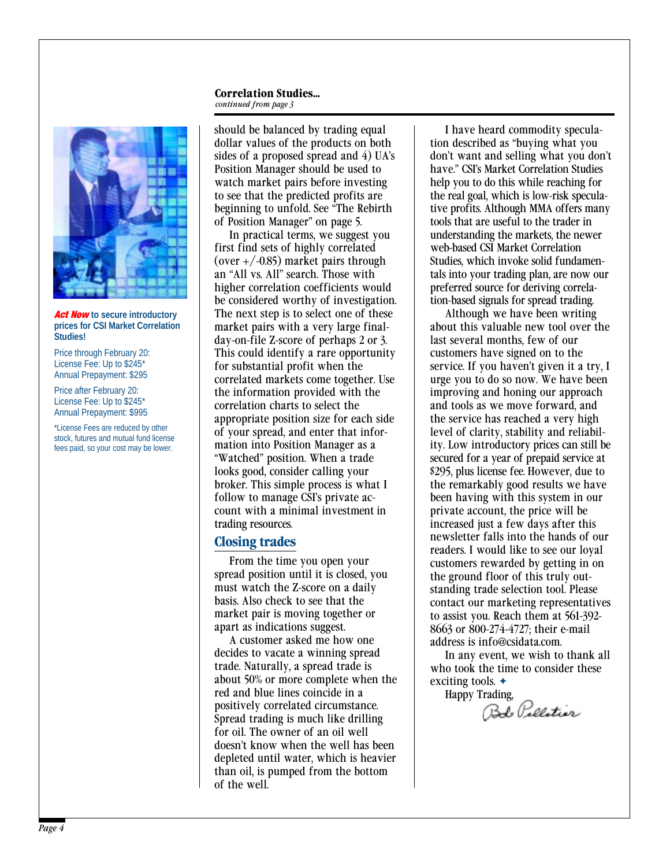#### **Correlation Studies...** *continued from page 3*



*Act Now* **to secure introductory prices for CSI Market Correlation Studies!**

Price through February 20: License Fee: Up to \$245\* Annual Prepayment: \$295

Price after February 20: License Fee: Up to \$245\* Annual Prepayment: \$995

\*License Fees are reduced by other stock, futures and mutual fund license fees paid, so your cost may be lower.

should be balanced by trading equal dollar values of the products on both sides of a proposed spread and 4) UA's Position Manager should be used to watch market pairs before investing to see that the predicted profits are beginning to unfold. See "The Rebirth of Position Manager" on page 5.

In practical terms, we suggest you first find sets of highly correlated (over  $+/-0.85$ ) market pairs through an "All vs. All" search. Those with higher correlation coefficients would be considered worthy of investigation. The next step is to select one of these market pairs with a very large finalday-on-file Z-score of perhaps 2 or 3. This could identify a rare opportunity for substantial profit when the correlated markets come together. Use the information provided with the correlation charts to select the appropriate position size for each side of your spread, and enter that information into Position Manager as a "Watched" position. When a trade looks good, consider calling your broker. This simple process is what I follow to manage CSI's private account with a minimal investment in trading resources.

### **Closing trades**

From the time you open your spread position until it is closed, you must watch the Z-score on a daily basis. Also check to see that the market pair is moving together or apart as indications suggest.

A customer asked me how one decides to vacate a winning spread trade. Naturally, a spread trade is about 50% or more complete when the red and blue lines coincide in a positively correlated circumstance. Spread trading is much like drilling for oil. The owner of an oil well doesn't know when the well has been depleted until water, which is heavier than oil, is pumped from the bottom of the well.

I have heard commodity speculation described as "buying what you don't want and selling what you don't have." CSI's Market Correlation Studies help you to do this while reaching for the real goal, which is low-risk speculative profits. Although MMA offers many tools that are useful to the trader in understanding the markets, the newer web-based CSI Market Correlation Studies, which invoke solid fundamentals into your trading plan, are now our preferred source for deriving correlation-based signals for spread trading.

Although we have been writing about this valuable new tool over the last several months, few of our customers have signed on to the service. If you haven't given it a try, I urge you to do so now. We have been improving and honing our approach and tools as we move forward, and the service has reached a very high level of clarity, stability and reliability. Low introductory prices can still be secured for a year of prepaid service at \$295, plus license fee. However, due to the remarkably good results we have been having with this system in our private account, the price will be increased just a few days after this newsletter falls into the hands of our readers. I would like to see our loyal customers rewarded by getting in on the ground floor of this truly outstanding trade selection tool. Please contact our marketing representatives to assist you. Reach them at 561-392- 8663 or 800-274-4727; their e-mail address is info@csidata.com.

In any event, we wish to thank all who took the time to consider these exciting tools. ✦

Happy Trading,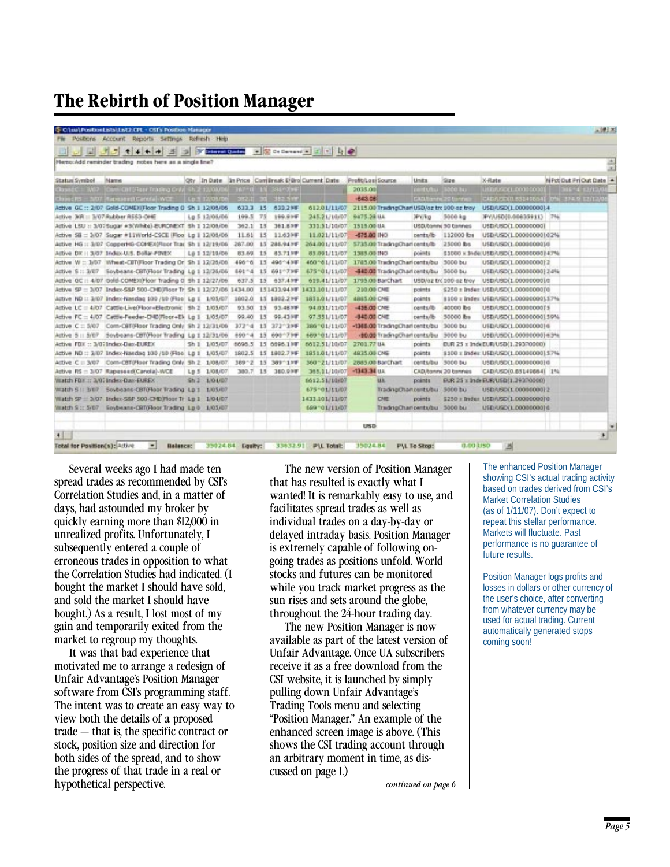# **The Rebirth of Position Manager**

|               | File Positions Account Reports Settings Refresh Nelp                          |                        |           |                 |                                                  |                |               |                    |                                             |                     |                                       |                                        |                        |                |   |
|---------------|-------------------------------------------------------------------------------|------------------------|-----------|-----------------|--------------------------------------------------|----------------|---------------|--------------------|---------------------------------------------|---------------------|---------------------------------------|----------------------------------------|------------------------|----------------|---|
|               | ای ای<br>七千十十 三                                                               | <b>Colerest Quadro</b> |           |                 | □ S Ce Dareand ■ コート D D                         |                |               |                    |                                             |                     |                                       |                                        |                        |                |   |
|               | Nemo:Add reminder trading nobes here as a single line?                        |                        |           |                 |                                                  |                |               |                    |                                             |                     |                                       |                                        |                        |                | ÷ |
| Status Symbol | Marne                                                                         |                        |           |                 | Oty In Date In Price ComBreak E Bro Current Date |                |               | Profit/Losi Source |                                             | <b>Units</b>        | 224                                   | X-Rate                                 | NPd Out Pri Out Date 4 |                |   |
|               | Closed C .: 3/07 Clave Cirt Steer Trading Cray Sh 2 12/08/06                  |                        |           |                 | <b>INVESTIGATION</b>                             |                |               | 2035.00            |                                             | centultu (5000 bu)  |                                       | <b>LIBRARY LOOPSOON</b>                |                        | 34614 12/12/04 |   |
|               | Closed PS = 3/07 Rapid and Canolal-WCE   Lp 5 12/08/06                        |                        |           |                 | 2012.11 201 352.5 (0)                            |                |               | -843.08            |                                             |                     | CAD/Bannic20 tonnies                  | CAB/USD(1) 831456641 0% 374.9 12/12/06 |                        |                |   |
|               | Active GC :: 2/07 Gold-COMEX/Floor Trading G Sh 1 12/06/06                    |                        | 633.3     | 15              | 433.2 MF                                         |                | 612.01/11/07  |                    | 2115.00 TradingCharl USD/oz trc 100 oz troy |                     |                                       | USD/USD(1,0000000014                   |                        |                |   |
|               | Active. JKR = 3/07 Rubber RSS3-OHE                                            | Lp 5 12/05/06          | 199.5 75  |                 | 199.919                                          |                | 245.21/10/07  | 9475.28 U.L        |                                             | <b>JPORD</b>        | 5000 kg                               | 3PY/USD(0.00833911) 7%                 |                        |                |   |
|               | Attive LSU :: 3/07 Sugar #3/White) EURONEXT Sh I 12/08/06                     |                        | 362.1     | 15              | 361.839                                          |                | 331.51/10/07  | 1515.00 UA         |                                             | USD/banny 50 bannes |                                       | USB/USD(1,000000001)                   |                        |                |   |
|               | Active 58 = 3/07 Sugar #11World-CSCE (Floo Lp 1 12/06/06                      |                        | 11.61     | 15              | 11,631年                                          |                | 11.021/11/07  | -875.00 (NO        |                                             | pants/b-            | 112000 lbs                            | USD/USD(1_000000001/02%)               |                        |                |   |
|               | Active HG :: 3/07 CopperHG-COME/0Risor Trax Sh 1 12/19/06 267.00 15 286.94 HF |                        |           |                 |                                                  |                | 264.001/11/07 |                    | 5735.00 TradingCharlconts/Ib                |                     | 25000 lbs                             | USD/USD(1.000000001/0                  |                        |                |   |
|               | Active DX :: 3/07 Index-U.S. Dollar-FDVEX                                     | L6 1 12/19/06          | 83.69     | 15              | 83.71 km                                         |                | 85.091/11/07  | 1385.00 INC        |                                             | points              | \$3000 x 3H6(USBA/SDCL000000003147%)  |                                        |                        |                |   |
|               | Active W :: 3/07 Wheat-CBT/Floor Trading Or Sh I 12/26/06                     |                        | $496 - 6$ |                 | 15 496 4 HF                                      |                | 460 461/11/07 |                    | 1785.00 TradingCharloents/bu 5000 bu        |                     |                                       | USD/USD(1,0000000012)                  |                        |                |   |
|               | Active S :: 3/07 Soybeans-CBT/Floor Trading Lp 1 12/26/06                     |                        | 69174     |                 | 15 691-739F                                      |                | 675-01/11/07  |                    | -840.00 TradingCharloents/bu 5000 bu        |                     |                                       | UED/USD(1.00000000)24%                 |                        |                |   |
|               | Attive OC :: 4/07 /5:46-COMEXIFIcor Trading 0 5h 1 12/27/06                   |                        | 637.5     |                 | 15 637.419                                       |                | 619.41/11/07  |                    | 1795.00 BarChart                            |                     | USD/oz frc 100 gz trov                | USBARD(1,0000000010)                   |                        |                |   |
|               | Active SP = 3/07 Index-S&P 500-CHE/Roor Tr. Sh I 12/27/06 1434.00             |                        |           |                 | 151433.94 MF 1433.101/11/07                      |                |               | 210.00 CMI         |                                             | points              | \$250 ± Index USD/USD(1.0000000010)   |                                        |                        |                |   |
|               | Active ND :: 3/07 Index-Nasdag 100 /10 (Floo: Lg I 1/05/07                    |                        | 1802.0    |                 | 15 1802.2 MF                                     |                | 1851/01/11/07 | 4885.00 CME        |                                             | points              | 8100 x Index USD/USD(1.000000003.57%) |                                        |                        |                |   |
|               | Ative LC = 4/07 Cattle-Live(Floor+Hedronic 5h 2 1/05/07                       |                        | 93.50     | 15              | 93.4619                                          |                | 94.031/11/07  | -435.00 CMF        |                                             | cents/8             | 40000 lbs                             | USB/USD(1.0000000015                   |                        |                |   |
|               | Active FC = 4/07 Cattle-Feeder-CHD(Roor+E): Lp 1 1/05/07                      |                        | 99.40     | 15              | 99,43 km                                         |                | 97.551/11/07  | 4940.00 CME        |                                             | pents/ib            | 50000 lbs                             | USD/USD(1.000000001.59%)               |                        |                |   |
|               | Artive C :: 5/07 Com-CBT/Floor Trading Only Sh 2 12/31/06                     |                        | $372 - 4$ |                 | 15 272 2MF                                       |                | 206101/11/07  |                    | -1365.00 TradingCharloents/bu               |                     | 3000 bu                               | USB/USD(1.000000001)6                  |                        |                |   |
|               | Attive 5 :: 5/07 Soybeans-CBT0Roor Trading Lp 1 12/31/06                      |                        | 890*4     | 15              | 6901739F                                         |                | 669 491/11/07 |                    | .80.00 TradingChartcents/bu 3000 bu         |                     |                                       | USB/USD(1,00000000)/63%                |                        |                |   |
|               | Active FDX: 3/07 Index-Dex-EUREX                                              | Sh 1 1/05/07           | 6698.3    |                 | 15 6896.1MF                                      |                | 6612.51/10/07 | 2701.77 UA         |                                             | points              | EUR 25 x 3nd EUR/USD(1,29370000)      |                                        |                        |                |   |
|               | Active ND :: 3/07 Index-Naedag 100 /10 (Floo Lp 1 1/05/07                     |                        | 1802.5    |                 | 15 1802.7 MF                                     |                | 1951/01/11/07 | 4835.00 CME        |                                             | points              | \$100 x Index USD/USD(1.00000000] 57% |                                        |                        |                |   |
|               | Artive C .: 3/07 Com-Off0Hoor Trading Only 5h 2 1/08/07                       |                        | 389 ~ 2   |                 | 15 389°11F                                       |                | 360~21/11/07  |                    | 2885.00 BarChart                            | cents/bu 5000 bu    |                                       | USBA/SC(1.00000000)d                   |                        |                |   |
|               | Active RS = 3/07 Rapeseed/Canola)-WCE                                         | Lp 5 1/08/07           | 380.7     | 15 <sub>2</sub> | 360,939                                          |                | 365.11/10/07  | $-1343.34$ UA      |                                             | CAD/banny 20 bannes |                                       | CAB/USD(0.85149864) 1%                 |                        |                |   |
|               | Viatch FDF :: 3/07 Index-Dax-EUREX                                            | $Sh2 - LO4/07$         |           |                 |                                                  |                | 6612.51/10/07 |                    | <b>UK</b>                                   | points.             | EUR 25 x Indi EUR/USD(1.29370000)     |                                        |                        |                |   |
|               | Watch 5 (1 3/07 Sovbeans-CBT(Fleer Trading 4.p.1 1/05/07                      |                        |           |                 |                                                  |                | 67570171107   |                    | TradingChartoents/bu 5000 bu                |                     |                                       | USD/USCLL 0000000012                   |                        |                |   |
|               | Watch SP = 3/07 Index-S&P 500-CHE(Floor Tr Lp 1 1/04/07                       |                        |           |                 |                                                  | 1433.101/11/07 |               |                    | <b>CME</b>                                  | points.             | \$250 x Bridex USD/USD/1.0000000010   |                                        |                        |                |   |
|               | Watch S :: 5/07 Foybeans-CRT(Floor Trading Lp 8 1/05/07                       |                        |           |                 |                                                  |                | 699101/11/07  |                    | TradingCharloents/bu 5000 bu                |                     |                                       | USD/USD(1,00000000)6                   |                        |                |   |
|               |                                                                               |                        |           |                 |                                                  |                |               |                    |                                             |                     |                                       |                                        |                        |                |   |
|               |                                                                               |                        |           |                 |                                                  |                |               | USD-               |                                             |                     |                                       |                                        |                        |                |   |

Several weeks ago I had made ten spread trades as recommended by CSI's Correlation Studies and, in a matter of days, had astounded my broker by quickly earning more than \$12,000 in unrealized profits. Unfortunately, I subsequently entered a couple of erroneous trades in opposition to what the Correlation Studies had indicated. (I bought the market I should have sold, and sold the market I should have bought.) As a result, I lost most of my gain and temporarily exited from the market to regroup my thoughts.

It was that bad experience that motivated me to arrange a redesign of Unfair Advantage's Position Manager software from CSI's programming staff. The intent was to create an easy way to view both the details of a proposed trade — that is, the specific contract or stock, position size and direction for both sides of the spread, and to show the progress of that trade in a real or hypothetical perspective.

The new version of Position Manager that has resulted is exactly what I wanted! It is remarkably easy to use, and facilitates spread trades as well as individual trades on a day-by-day or delayed intraday basis. Position Manager is extremely capable of following ongoing trades as positions unfold. World stocks and futures can be monitored while you track market progress as the sun rises and sets around the globe, throughout the 24-hour trading day.

The new Position Manager is now available as part of the latest version of Unfair Advantage. Once UA subscribers receive it as a free download from the CSI website, it is launched by simply pulling down Unfair Advantage's Trading Tools menu and selecting "Position Manager." An example of the enhanced screen image is above. (This shows the CSI trading account through an arbitrary moment in time, as discussed on page 1.)

*continued on page 6*

The enhanced Position Manager showing CSI's actual trading activity based on trades derived from CSI's Market Correlation Studies (as of 1/11/07). Don't expect to repeat this stellar performance. Markets will fluctuate. Past performance is no guarantee of future results.

Position Manager logs profits and losses in dollars or other currency of the user's choice, after converting from whatever currency may be used for actual trading. Current automatically generated stops coming soon!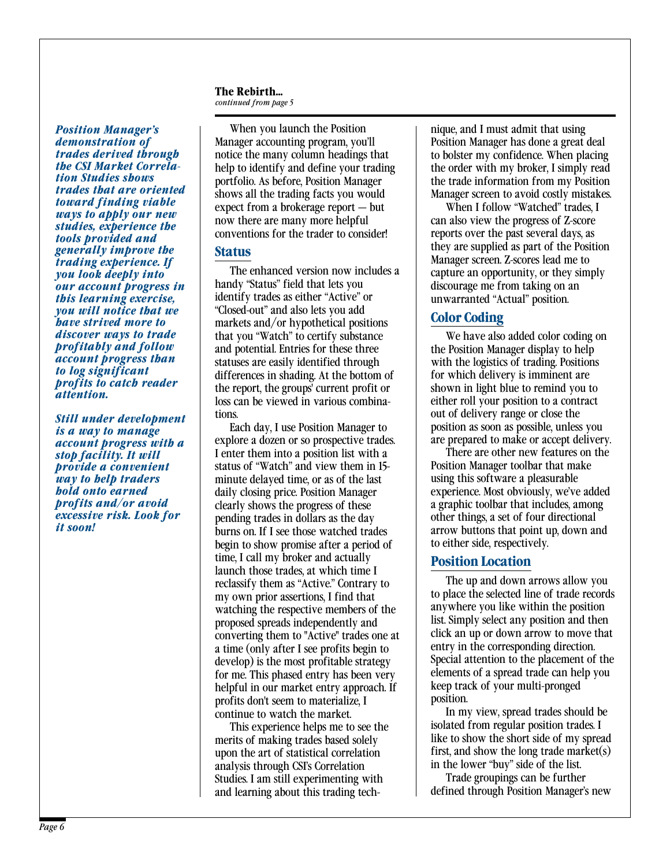#### **The Rebirth...**

*continued from page 5*

*Position Manager's demonstration of trades derived through the CSI Market Correlation Studies shows trades that are oriented toward finding viable ways to apply our new studies, experience the tools provided and generally improve the trading experience. If you look deeply into our account progress in this learning exercise, you will notice that we have strived more to discover ways to trade profitably and follow account progress than to log significant profits to catch reader attention.*

*Still under development is a way to manage account progress with a stop facility. It will provide a convenient way to help traders hold onto earned profits and/or avoid excessive risk. Look for it soon!*

When you launch the Position Manager accounting program, you'll notice the many column headings that help to identify and define your trading portfolio. As before, Position Manager shows all the trading facts you would expect from a brokerage report — but now there are many more helpful conventions for the trader to consider!

#### **Status**

The enhanced version now includes a handy "Status" field that lets you identify trades as either "Active" or "Closed-out" and also lets you add markets and/or hypothetical positions that you "Watch" to certify substance and potential. Entries for these three statuses are easily identified through differences in shading. At the bottom of the report, the groups' current profit or loss can be viewed in various combinations.

Each day, I use Position Manager to explore a dozen or so prospective trades. I enter them into a position list with a status of "Watch" and view them in 15 minute delayed time, or as of the last daily closing price. Position Manager clearly shows the progress of these pending trades in dollars as the day burns on. If I see those watched trades begin to show promise after a period of time, I call my broker and actually launch those trades, at which time I reclassify them as "Active." Contrary to my own prior assertions, I find that watching the respective members of the proposed spreads independently and converting them to "Active" trades one at a time (only after I see profits begin to develop) is the most profitable strategy for me. This phased entry has been very helpful in our market entry approach. If profits don't seem to materialize, I continue to watch the market.

This experience helps me to see the merits of making trades based solely upon the art of statistical correlation analysis through CSI's Correlation Studies. I am still experimenting with and learning about this trading technique, and I must admit that using Position Manager has done a great deal to bolster my confidence. When placing the order with my broker, I simply read the trade information from my Position Manager screen to avoid costly mistakes.

When I follow "Watched" trades, I can also view the progress of Z-score reports over the past several days, as they are supplied as part of the Position Manager screen. Z-scores lead me to capture an opportunity, or they simply discourage me from taking on an unwarranted "Actual" position.

# **Color Coding**

We have also added color coding on the Position Manager display to help with the logistics of trading. Positions for which delivery is imminent are shown in light blue to remind you to either roll your position to a contract out of delivery range or close the position as soon as possible, unless you are prepared to make or accept delivery.

There are other new features on the Position Manager toolbar that make using this software a pleasurable experience. Most obviously, we've added a graphic toolbar that includes, among other things, a set of four directional arrow buttons that point up, down and to either side, respectively.

# **Position Location**

The up and down arrows allow you to place the selected line of trade records anywhere you like within the position list. Simply select any position and then click an up or down arrow to move that entry in the corresponding direction. Special attention to the placement of the elements of a spread trade can help you keep track of your multi-pronged position.

In my view, spread trades should be isolated from regular position trades. I like to show the short side of my spread first, and show the long trade market(s) in the lower "buy" side of the list.

Trade groupings can be further defined through Position Manager's new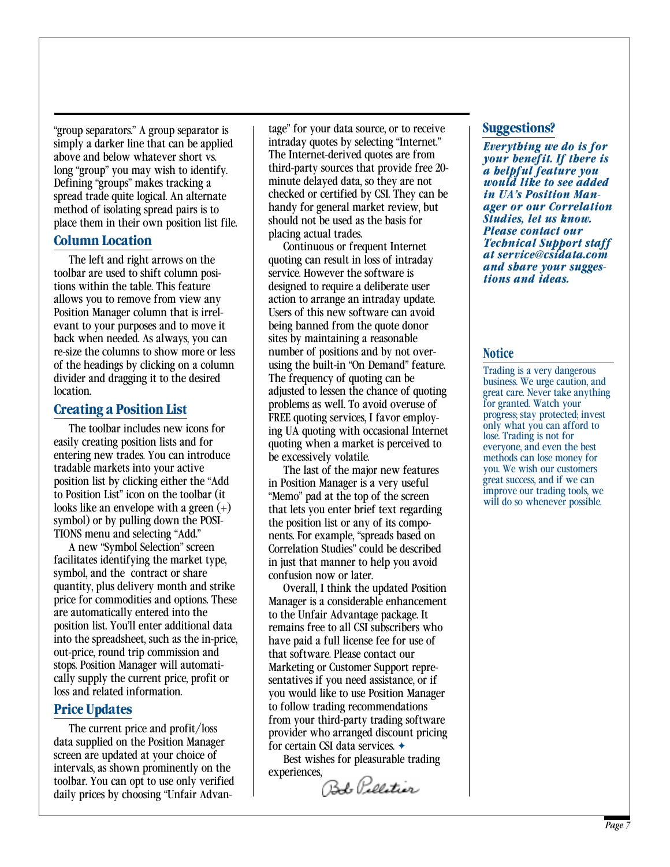"group separators." A group separator is simply a darker line that can be applied above and below whatever short vs. long "group" you may wish to identify. Defining "groups" makes tracking a spread trade quite logical. An alternate method of isolating spread pairs is to place them in their own position list file.

#### **Column Location**

The left and right arrows on the toolbar are used to shift column positions within the table. This feature allows you to remove from view any Position Manager column that is irrelevant to your purposes and to move it back when needed. As always, you can re-size the columns to show more or less of the headings by clicking on a column divider and dragging it to the desired location.

#### **Creating a Position List**

The toolbar includes new icons for easily creating position lists and for entering new trades. You can introduce tradable markets into your active position list by clicking either the "Add to Position List" icon on the toolbar (it looks like an envelope with a green  $(+)$ symbol) or by pulling down the POSI-TIONS menu and selecting "Add."

A new "Symbol Selection" screen facilitates identifying the market type, symbol, and the contract or share quantity, plus delivery month and strike price for commodities and options. These are automatically entered into the position list. You'll enter additional data into the spreadsheet, such as the in-price, out-price, round trip commission and stops. Position Manager will automatically supply the current price, profit or loss and related information.

#### **Price Updates**

The current price and profit/loss data supplied on the Position Manager screen are updated at your choice of intervals, as shown prominently on the toolbar. You can opt to use only verified daily prices by choosing "Unfair Advantage" for your data source, or to receive intraday quotes by selecting "Internet." The Internet-derived quotes are from third-party sources that provide free 20 minute delayed data, so they are not checked or certified by CSI. They can be handy for general market review, but should not be used as the basis for placing actual trades.

Continuous or frequent Internet quoting can result in loss of intraday service. However the software is designed to require a deliberate user action to arrange an intraday update. Users of this new software can avoid being banned from the quote donor sites by maintaining a reasonable number of positions and by not overusing the built-in "On Demand" feature. The frequency of quoting can be adjusted to lessen the chance of quoting problems as well. To avoid overuse of FREE quoting services, I favor employing UA quoting with occasional Internet quoting when a market is perceived to be excessively volatile.

The last of the major new features in Position Manager is a very useful "Memo" pad at the top of the screen that lets you enter brief text regarding the position list or any of its components. For example, "spreads based on Correlation Studies" could be described in just that manner to help you avoid confusion now or later.

Overall, I think the updated Position Manager is a considerable enhancement to the Unfair Advantage package. It remains free to all CSI subscribers who have paid a full license fee for use of that software. Please contact our Marketing or Customer Support representatives if you need assistance, or if you would like to use Position Manager to follow trading recommendations from your third-party trading software provider who arranged discount pricing for certain CSI data services. ✦

Best wishes for pleasurable trading experiences,

Bb Pollitier

#### **Suggestions?**

*Everything we do is for your benefit. If there is a helpful feature you would like to see added in UA's Position Manager or our Correlation Studies, let us know. Please contact our Technical Support staff at service@csidata.com and share your suggestions and ideas.*

#### **Notice**

Trading is a very dangerous business. We urge caution, and great care. Never take anything for granted. Watch your progress; stay protected; invest only what you can afford to lose. Trading is not for everyone, and even the best methods can lose money for you. We wish our customers great success, and if we can improve our trading tools, we will do so whenever possible.